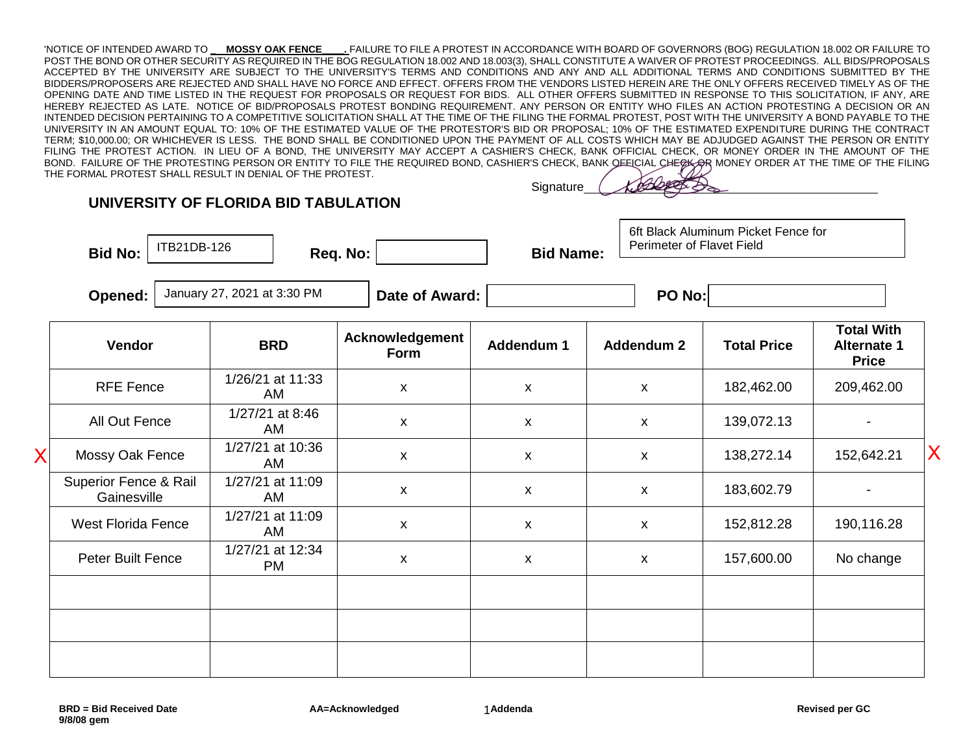'NOTICE OF INTENDED AWARD TO **\_ MOSSY OAK FENCE\_\_\_\_.** FAILURE TO FILE A PROTEST IN ACCORDANCE WITH BOARD OF GOVERNORS (BOG) REGULATION 18.002 OR FAILURE TO POST THE BOND OR OTHER SECURITY AS REQUIRED IN THE BOG REGULATION 18.002 AND 18.003(3), SHALL CONSTITUTE A WAIVER OF PROTEST PROCEEDINGS. ALL BIDS/PROPOSALS ACCEPTED BY THE UNIVERSITY ARE SUBJECT TO THE UNIVERSITY'S TERMS AND CONDITIONS AND ANY AND ALL ADDITIONAL TERMS AND CONDITIONS SUBMITTED BY THE BIDDERS/PROPOSERS ARE REJECTED AND SHALL HAVE NO FORCE AND EFFECT. OFFERS FROM THE VENDORS LISTED HEREIN ARE THE ONLY OFFERS RECEIVED TIMELY AS OF THE OPENING DATE AND TIME LISTED IN THE REQUEST FOR PROPOSALS OR REQUEST FOR BIDS. ALL OTHER OFFERS SUBMITTED IN RESPONSE TO THIS SOLICITATION, IF ANY, ARE HEREBY REJECTED AS LATE. NOTICE OF BID/PROPOSALS PROTEST BONDING REQUIREMENT. ANY PERSON OR ENTITY WHO FILES AN ACTION PROTESTING A DECISION OR AN INTENDED DECISION PERTAINING TO A COMPETITIVE SOLICITATION SHALL AT THE TIME OF THE FILING THE FORMAL PROTEST, POST WITH THE UNIVERSITY A BOND PAYABLE TO THE UNIVERSITY IN AN AMOUNT EQUAL TO: 10% OF THE ESTIMATED VALUE OF THE PROTESTOR'S BID OR PROPOSAL; 10% OF THE ESTIMATED EXPENDITURE DURING THE CONTRACT TERM; \$10,000.00; OR WHICHEVER IS LESS. THE BOND SHALL BE CONDITIONED UPON THE PAYMENT OF ALL COSTS WHICH MAY BE ADJUDGED AGAINST THE PERSON OR ENTITY FILING THE PROTEST ACTION. IN LIEU OF A BOND, THE UNIVERSITY MAY ACCEPT A CASHIER'S CHECK, BANK OFFICIAL CHECK, OR MONEY ORDER IN THE AMOUNT OF THE BOND. FAILURE OF THE PROTESTING PERSON OR ENTITY TO FILE THE REQUIRED BOND, CASHIER'S CHECK, BANK OFEICIAL CHECK ORDER AT THE TIME OF THE FILING THE FORMAL PROTEST SHALL RESULT IN DENIAL OF THE PROTEST.

## **UNIVERSITY OF FLORIDA BID TABULATION**

ITB21DB-126

Bid No:  $\vert$   $\vert$  IIDZIUD-120  $\vert$  Req. No:  $\vert$  Bid Name:

**Signature** 

6ft Black Aluminum Picket Fence for Perimeter of Flavet Field

**Opened:**  $\vert$  January 27, 2021 at 3:30 PM  $\vert$  **Date of Award:**  $\vert$  **PO No:**  $\vert$  **PO No:** 

|   | Vendor                               | <b>BRD</b>                    | Acknowledgement<br><b>Form</b> | Addendum 1 | Addendum 2         | <b>Total Price</b> | <b>Total With</b><br><b>Alternate 1</b><br><b>Price</b> |   |
|---|--------------------------------------|-------------------------------|--------------------------------|------------|--------------------|--------------------|---------------------------------------------------------|---|
|   | <b>RFE Fence</b>                     | 1/26/21 at 11:33<br>AM        | X                              | X          | $\pmb{\chi}$       | 182,462.00         | 209,462.00                                              |   |
|   | All Out Fence                        | 1/27/21 at 8:46<br>AM         | $\pmb{\mathsf{X}}$             | X          | $\pmb{\mathsf{X}}$ | 139,072.13         |                                                         |   |
| X | Mossy Oak Fence                      | 1/27/21 at 10:36<br>AM        | $\pmb{\mathsf{x}}$             | X          | X                  | 138,272.14         | 152,642.21                                              | X |
|   | Superior Fence & Rail<br>Gainesville | 1/27/21 at 11:09<br>AM        | $\pmb{\mathsf{X}}$             | X          | $\pmb{\chi}$       | 183,602.79         | $\blacksquare$                                          |   |
|   | <b>West Florida Fence</b>            | 1/27/21 at 11:09<br>AM        | $\pmb{\mathsf{x}}$             | X          | $\pmb{\mathsf{X}}$ | 152,812.28         | 190,116.28                                              |   |
|   | Peter Built Fence                    | 1/27/21 at 12:34<br><b>PM</b> | $\pmb{\mathsf{X}}$             | X          | $\pmb{\mathsf{X}}$ | 157,600.00         | No change                                               |   |
|   |                                      |                               |                                |            |                    |                    |                                                         |   |
|   |                                      |                               |                                |            |                    |                    |                                                         |   |
|   |                                      |                               |                                |            |                    |                    |                                                         |   |